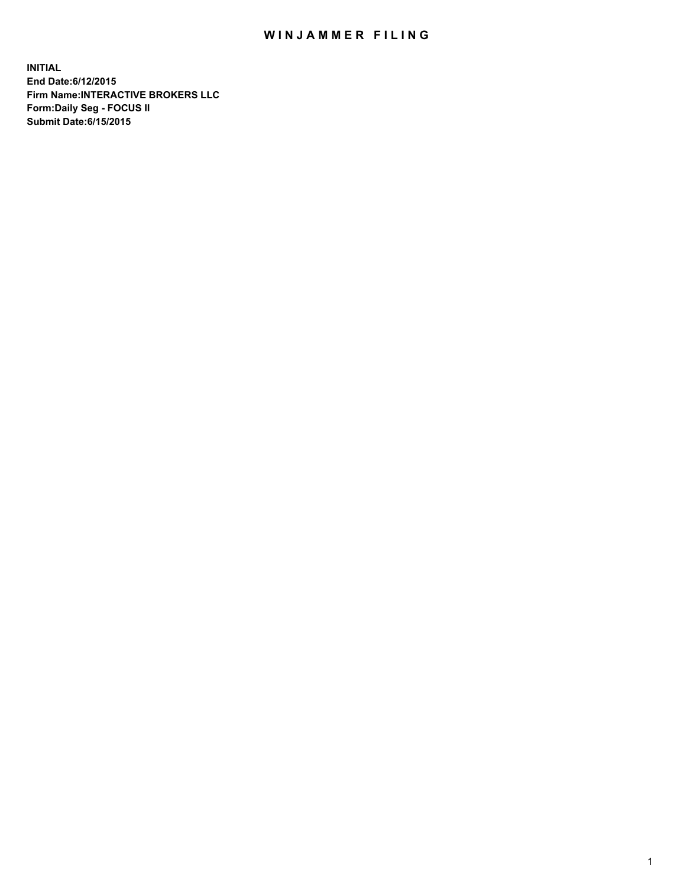## WIN JAMMER FILING

**INITIAL End Date:6/12/2015 Firm Name:INTERACTIVE BROKERS LLC Form:Daily Seg - FOCUS II Submit Date:6/15/2015**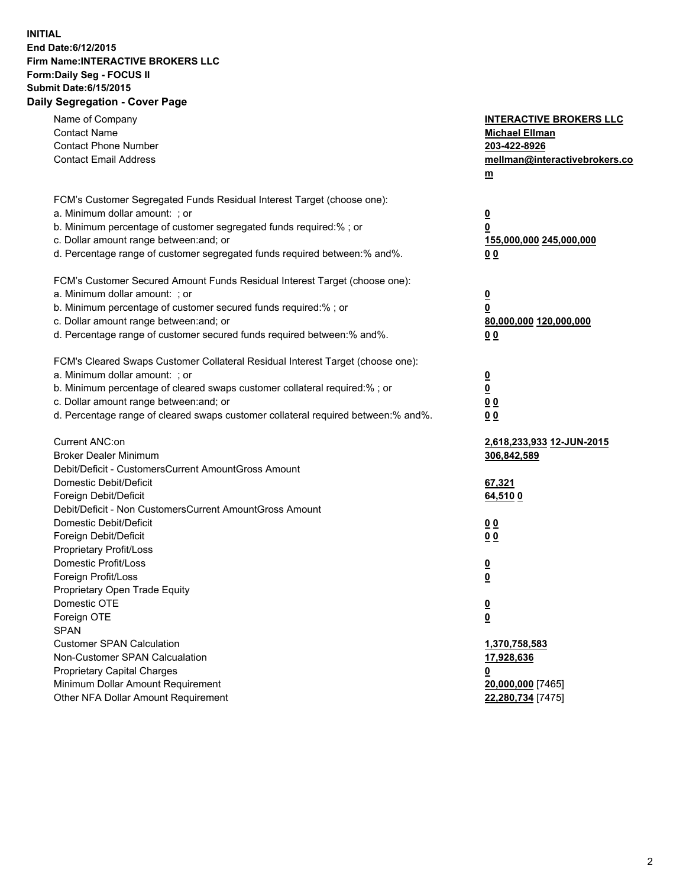## **INITIAL End Date:6/12/2015 Firm Name:INTERACTIVE BROKERS LLC Form:Daily Seg - FOCUS II Submit Date:6/15/2015 Daily Segregation - Cover Page**

| Name of Company<br><b>Contact Name</b><br><b>Contact Phone Number</b><br><b>Contact Email Address</b>                                                                                                                                                                                                                          | <b>INTERACTIVE BROKERS LLC</b><br><b>Michael Ellman</b><br>203-422-8926<br>mellman@interactivebrokers.co<br>$m$ |
|--------------------------------------------------------------------------------------------------------------------------------------------------------------------------------------------------------------------------------------------------------------------------------------------------------------------------------|-----------------------------------------------------------------------------------------------------------------|
| FCM's Customer Segregated Funds Residual Interest Target (choose one):<br>a. Minimum dollar amount: ; or<br>b. Minimum percentage of customer segregated funds required:% ; or<br>c. Dollar amount range between: and; or<br>d. Percentage range of customer segregated funds required between:% and%.                         | <u>0</u><br><u>0</u><br>155,000,000 245,000,000<br>0 <sub>0</sub>                                               |
| FCM's Customer Secured Amount Funds Residual Interest Target (choose one):<br>a. Minimum dollar amount: ; or<br>b. Minimum percentage of customer secured funds required:% ; or<br>c. Dollar amount range between: and; or<br>d. Percentage range of customer secured funds required between:% and%.                           | <u>0</u><br>0<br>80,000,000 120,000,000<br>0 <sub>0</sub>                                                       |
| FCM's Cleared Swaps Customer Collateral Residual Interest Target (choose one):<br>a. Minimum dollar amount: ; or<br>b. Minimum percentage of cleared swaps customer collateral required:% ; or<br>c. Dollar amount range between: and; or<br>d. Percentage range of cleared swaps customer collateral required between:% and%. | $\overline{\mathbf{0}}$<br>$\underline{\mathbf{0}}$<br>0 <sub>0</sub><br>0 <sub>0</sub>                         |
| Current ANC:on<br><b>Broker Dealer Minimum</b><br>Debit/Deficit - CustomersCurrent AmountGross Amount<br>Domestic Debit/Deficit<br>Foreign Debit/Deficit                                                                                                                                                                       | <u>2,618,233,933 12-JUN-2015</u><br>306,842,589<br>67,321<br>64,510 0                                           |
| Debit/Deficit - Non CustomersCurrent AmountGross Amount<br>Domestic Debit/Deficit<br>Foreign Debit/Deficit<br>Proprietary Profit/Loss<br>Domestic Profit/Loss                                                                                                                                                                  | 0 <sub>0</sub><br>00<br><u>0</u>                                                                                |
| Foreign Profit/Loss<br>Proprietary Open Trade Equity<br>Domestic OTE<br>Foreign OTE<br><b>SPAN</b><br><b>Customer SPAN Calculation</b>                                                                                                                                                                                         | <u>0</u><br><u>0</u><br><u>0</u><br>1,370,758,583                                                               |
| Non-Customer SPAN Calcualation<br><b>Proprietary Capital Charges</b><br>Minimum Dollar Amount Requirement<br>Other NFA Dollar Amount Requirement                                                                                                                                                                               | 17,928,636<br><u>0</u><br>20,000,000 [7465]<br>22,280,734 [7475]                                                |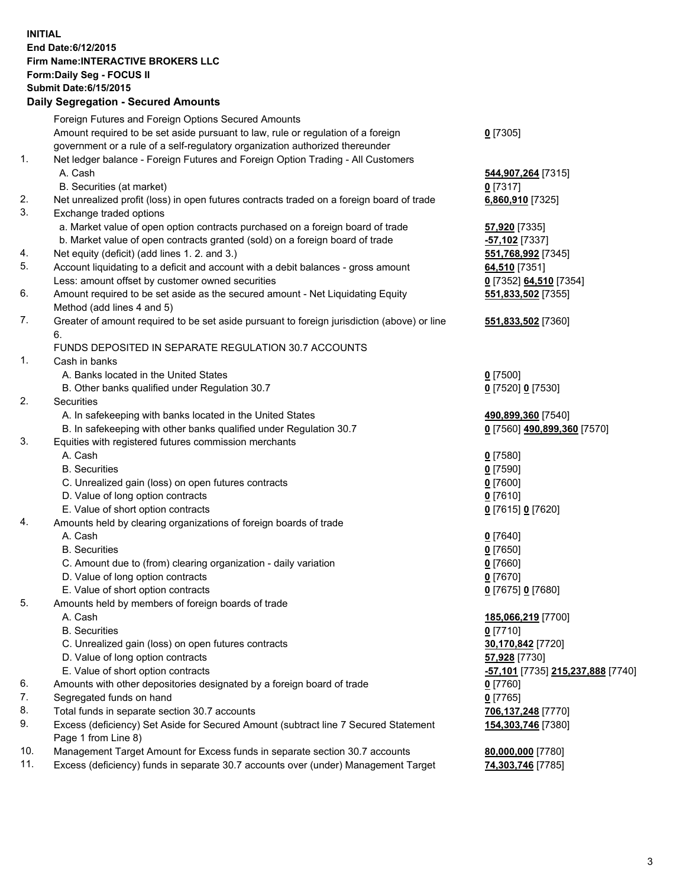## **INITIAL End Date:6/12/2015 Firm Name:INTERACTIVE BROKERS LLC Form:Daily Seg - FOCUS II Submit Date:6/15/2015 Daily Segregation - Secured Amounts**

|     | Daily Jegiegation - Jeculed Aniounts                                                                       |                                          |
|-----|------------------------------------------------------------------------------------------------------------|------------------------------------------|
|     | Foreign Futures and Foreign Options Secured Amounts                                                        |                                          |
|     | Amount required to be set aside pursuant to law, rule or regulation of a foreign                           | $0$ [7305]                               |
|     | government or a rule of a self-regulatory organization authorized thereunder                               |                                          |
| 1.  | Net ledger balance - Foreign Futures and Foreign Option Trading - All Customers                            |                                          |
|     | A. Cash                                                                                                    | 544,907,264 [7315]                       |
|     | B. Securities (at market)                                                                                  | $0$ [7317]                               |
| 2.  | Net unrealized profit (loss) in open futures contracts traded on a foreign board of trade                  | 6,860,910 [7325]                         |
| 3.  | Exchange traded options                                                                                    |                                          |
|     | a. Market value of open option contracts purchased on a foreign board of trade                             | 57,920 [7335]                            |
|     | b. Market value of open contracts granted (sold) on a foreign board of trade                               | -57,102 [7337]                           |
| 4.  | Net equity (deficit) (add lines 1.2. and 3.)                                                               | 551,768,992 [7345]                       |
| 5.  | Account liquidating to a deficit and account with a debit balances - gross amount                          | 64,510 [7351]                            |
|     | Less: amount offset by customer owned securities                                                           | 0 [7352] 64,510 [7354]                   |
| 6.  | Amount required to be set aside as the secured amount - Net Liquidating Equity                             | 551,833,502 [7355]                       |
|     | Method (add lines 4 and 5)                                                                                 |                                          |
| 7.  | Greater of amount required to be set aside pursuant to foreign jurisdiction (above) or line                | 551,833,502 [7360]                       |
|     | 6.                                                                                                         |                                          |
|     | FUNDS DEPOSITED IN SEPARATE REGULATION 30.7 ACCOUNTS                                                       |                                          |
| 1.  | Cash in banks                                                                                              |                                          |
|     | A. Banks located in the United States                                                                      | $0$ [7500]                               |
|     | B. Other banks qualified under Regulation 30.7                                                             | 0 [7520] 0 [7530]                        |
| 2.  | Securities                                                                                                 |                                          |
|     | A. In safekeeping with banks located in the United States                                                  | 490,899,360 [7540]                       |
|     | B. In safekeeping with other banks qualified under Regulation 30.7                                         | 0 [7560] 490,899,360 [7570]              |
| 3.  | Equities with registered futures commission merchants                                                      |                                          |
|     | A. Cash                                                                                                    | $0$ [7580]                               |
|     | <b>B.</b> Securities                                                                                       | $0$ [7590]                               |
|     | C. Unrealized gain (loss) on open futures contracts                                                        | $0$ [7600]                               |
|     | D. Value of long option contracts                                                                          | $0$ [7610]                               |
|     | E. Value of short option contracts                                                                         | 0 [7615] 0 [7620]                        |
| 4.  | Amounts held by clearing organizations of foreign boards of trade                                          |                                          |
|     | A. Cash                                                                                                    | $0$ [7640]                               |
|     | <b>B.</b> Securities                                                                                       | $0$ [7650]                               |
|     | C. Amount due to (from) clearing organization - daily variation                                            | $0$ [7660]                               |
|     | D. Value of long option contracts                                                                          | $0$ [7670]                               |
|     | E. Value of short option contracts                                                                         | 0 [7675] 0 [7680]                        |
| 5.  | Amounts held by members of foreign boards of trade                                                         |                                          |
|     | A. Cash                                                                                                    | 185,066,219 [7700]                       |
|     | <b>B.</b> Securities                                                                                       | $0$ [7710]                               |
|     | C. Unrealized gain (loss) on open futures contracts                                                        | 30,170,842 [7720]                        |
|     | D. Value of long option contracts                                                                          | 57,928 [7730]                            |
|     | E. Value of short option contracts                                                                         | <u>-57,101</u> [7735] 215,237,888 [7740] |
| 6.  | Amounts with other depositories designated by a foreign board of trade                                     | 0 [7760]                                 |
| 7.  | Segregated funds on hand                                                                                   | $0$ [7765]                               |
| 8.  | Total funds in separate section 30.7 accounts                                                              | 706,137,248 [7770]                       |
| 9.  | Excess (deficiency) Set Aside for Secured Amount (subtract line 7 Secured Statement<br>Page 1 from Line 8) | 154,303,746 [7380]                       |
| 10. | Management Target Amount for Excess funds in separate section 30.7 accounts                                | 80,000,000 [7780]                        |
| 11. | Excess (deficiency) funds in separate 30.7 accounts over (under) Management Target                         | 74,303,746 [7785]                        |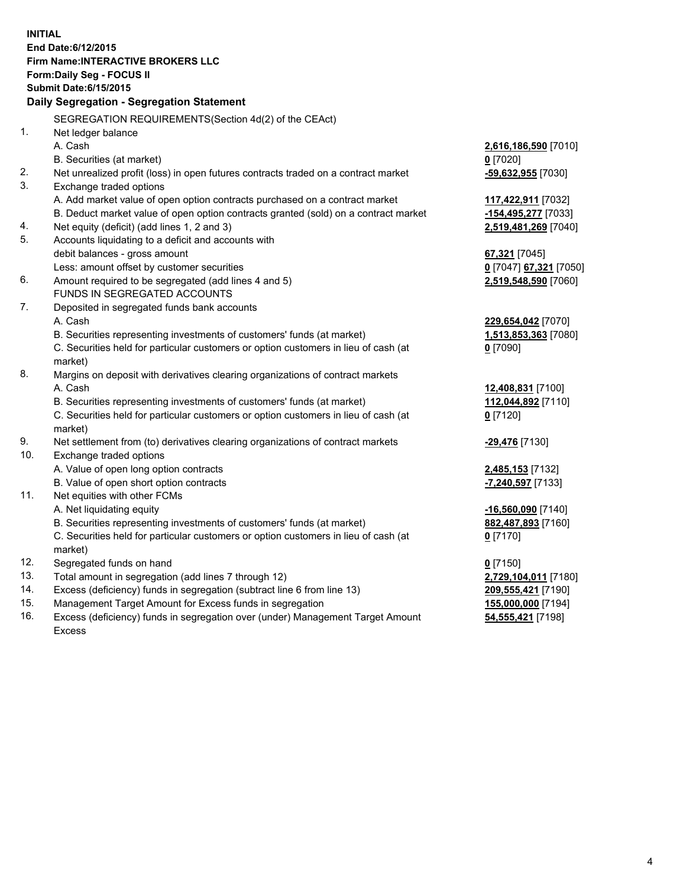**INITIAL End Date:6/12/2015 Firm Name:INTERACTIVE BROKERS LLC Form:Daily Seg - FOCUS II Submit Date:6/15/2015 Daily Segregation - Segregation Statement** SEGREGATION REQUIREMENTS(Section 4d(2) of the CEAct) 1. Net ledger balance A. Cash **2,616,186,590** [7010] B. Securities (at market) **0** [7020] 2. Net unrealized profit (loss) in open futures contracts traded on a contract market **-59,632,955** [7030] 3. Exchange traded options A. Add market value of open option contracts purchased on a contract market **117,422,911** [7032] B. Deduct market value of open option contracts granted (sold) on a contract market **-154,495,277** [7033] 4. Net equity (deficit) (add lines 1, 2 and 3) **2,519,481,269** [7040] 5. Accounts liquidating to a deficit and accounts with debit balances - gross amount **67,321** [7045] Less: amount offset by customer securities **0** [7047] **67,321** [7050] 6. Amount required to be segregated (add lines 4 and 5) **2,519,548,590** [7060] FUNDS IN SEGREGATED ACCOUNTS 7. Deposited in segregated funds bank accounts A. Cash **229,654,042** [7070] B. Securities representing investments of customers' funds (at market) **1,513,853,363** [7080] C. Securities held for particular customers or option customers in lieu of cash (at market) **0** [7090] 8. Margins on deposit with derivatives clearing organizations of contract markets A. Cash **12,408,831** [7100] B. Securities representing investments of customers' funds (at market) **112,044,892** [7110] C. Securities held for particular customers or option customers in lieu of cash (at market) **0** [7120] 9. Net settlement from (to) derivatives clearing organizations of contract markets **-29,476** [7130] 10. Exchange traded options A. Value of open long option contracts **2,485,153** [7132] B. Value of open short option contracts **-7,240,597** [7133] 11. Net equities with other FCMs A. Net liquidating equity **-16,560,090** [7140] B. Securities representing investments of customers' funds (at market) **882,487,893** [7160] C. Securities held for particular customers or option customers in lieu of cash (at market) **0** [7170] 12. Segregated funds on hand **0** [7150] 13. Total amount in segregation (add lines 7 through 12) **2,729,104,011** [7180] 14. Excess (deficiency) funds in segregation (subtract line 6 from line 13) **209,555,421** [7190] 15. Management Target Amount for Excess funds in segregation **155,000,000** [7194]

16. Excess (deficiency) funds in segregation over (under) Management Target Amount Excess

**54,555,421** [7198]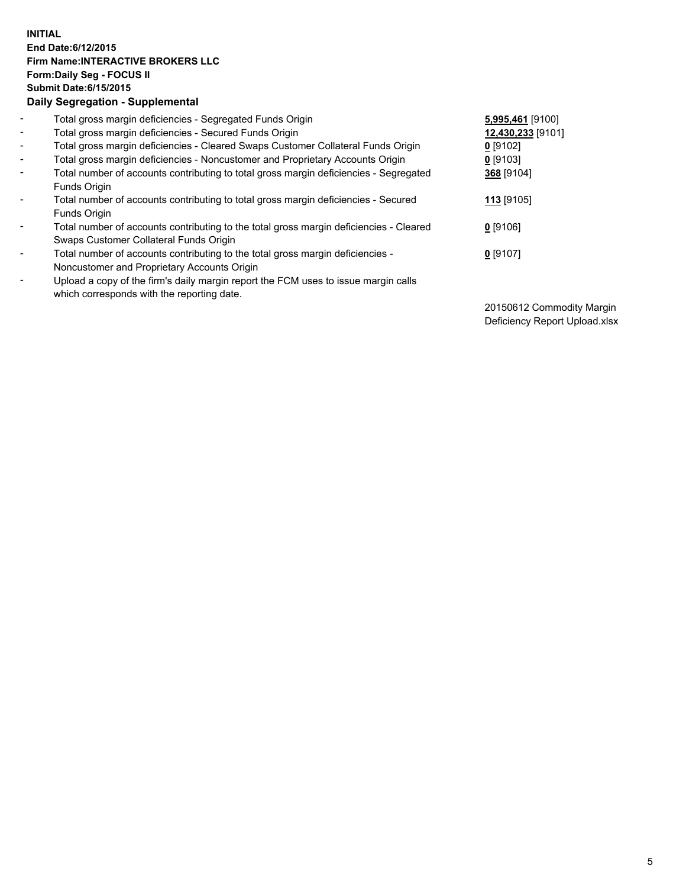## **INITIAL End Date:6/12/2015 Firm Name:INTERACTIVE BROKERS LLC Form:Daily Seg - FOCUS II Submit Date:6/15/2015 Daily Segregation - Supplemental**

| $\blacksquare$           | Total gross margin deficiencies - Segregated Funds Origin                              | 5,995,461 [9100]  |
|--------------------------|----------------------------------------------------------------------------------------|-------------------|
| $\overline{\phantom{a}}$ | Total gross margin deficiencies - Secured Funds Origin                                 | 12,430,233 [9101] |
| $\blacksquare$           | Total gross margin deficiencies - Cleared Swaps Customer Collateral Funds Origin       | $0$ [9102]        |
| $\blacksquare$           | Total gross margin deficiencies - Noncustomer and Proprietary Accounts Origin          | 0 [9103]          |
| $\blacksquare$           | Total number of accounts contributing to total gross margin deficiencies - Segregated  | 368 [9104]        |
|                          | Funds Origin                                                                           |                   |
| $\blacksquare$           | Total number of accounts contributing to total gross margin deficiencies - Secured     | 113 [9105]        |
|                          | Funds Origin                                                                           |                   |
| $\blacksquare$           | Total number of accounts contributing to the total gross margin deficiencies - Cleared | $0$ [9106]        |
|                          | Swaps Customer Collateral Funds Origin                                                 |                   |
| $\blacksquare$           | Total number of accounts contributing to the total gross margin deficiencies -         | $0$ [9107]        |
|                          | Noncustomer and Proprietary Accounts Origin                                            |                   |
| $\overline{\phantom{a}}$ | Upload a copy of the firm's daily margin report the FCM uses to issue margin calls     |                   |
|                          | which corresponds with the reporting date.                                             |                   |
|                          |                                                                                        |                   |

20150612 Commodity Margin Deficiency Report Upload.xlsx